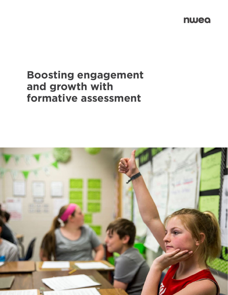nwea

# **Boosting engagement and growth with formative assessment**

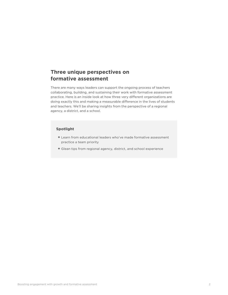### **Three unique perspectives on formative assessment**

There are many ways leaders can support the ongoing process of teachers collaborating, building, and sustaining their work with formative assessment practice. Here is an inside look at how three very different organizations are doing exactly this and making a measurable difference in the lives of students and teachers. We'll be sharing insights from the perspective of a regional agency, a district, and a school.

### **Spotlight**

- **+** Learn from educational leaders who've made formative assessment practice a team priority
- **+** Glean tips from regional agency, district, and school experience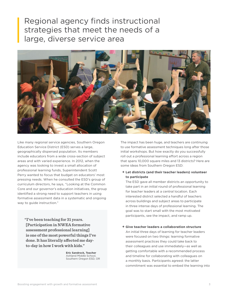## Regional agency finds instructional strategies that meet the needs of a large, diverse service area



Like many regional service agencies, Southern Oregon Education Service District (ESD) serves a large, geographically dispersed population. Its members include educators from a wide cross-section of subject areas and with varied experience. In 2012, when the agency was looking to invest a small allocation of professional learning funds, Superintendent Scott Perry wanted to focus that budget on educators' most pressing needs. When he consulted the ESD's group of curriculum directors, he says, "Looking at the Common Core and our governor's education initiatives, the group identified a strong need to support teachers in using formative assessment data in a systematic and ongoing way to guide instruction."

**"I've been teaching for 31 years. [Participation in NWEA formative assessment professional learning] is one of the most powerful things I've done. It has literally affected me dayto-day in how I work with kids."** 

> **Eric Sandrock, Teacher** Ashland Middle School, Southern Oregon ESD, OR

The impact has been huge, and teachers are continuing to use formative assessment techniques long after those initial workshops. But how exactly do you successfully roll out a professional learning effort across a region that spans 10,000 square miles and 13 districts? Here are some ideas from Southern Oregon ESD:

### **+ Let districts (and their teacher leaders) volunteer to participate**

The ESD gave all member districts an opportunity to take part in an initial round of professional learning for teacher leaders at a central location. Each interested district selected a handful of teachers across buildings and subject areas to participate in three intense days of professional learning. The goal was to start small with the most motivated participants, see the impact, and ramp up.

**+ Give teacher leaders a collaboration structure**

An initial three days of learning for teacher leaders were focused on two things: learning formative assessment practices they could take back to their colleagues and use immediately—as well as getting comfortable with a recommended process and timeline for collaborating with colleagues on a monthly basis. Participants agreed: the latter commitment was essential to embed the learning into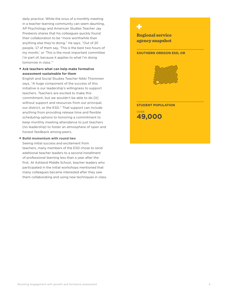daily practice. While the onus of a monthly meeting in a teacher learning community can seem daunting, AP Psychology and American Studies Teacher Jay Preskenis shares that his colleagues quickly found their collaboration to be "more worthwhile than anything else they're doing." He says, "Out of 20 people, 17 of them say, 'This is the best two hours of my month,' or 'This is the most important committee I'm part of, because it applies to what I'm doing tomorrow in class.'"

### **+ Ask teachers what can help make formative assessment sustainable for them**

English and Social Studies Teacher Nikki Thommen says, "A huge component of the success of this initiative is our leadership's willingness to support teachers. Teachers are excited to make this commitment, but we wouldn't be able to do [it] without support and resources from our principal, our district, or the ESD." That support can include anything from providing release time and flexible scheduling options to honoring a commitment to keep monthly meeting attendance to just teachers (no leadership) to foster an atmosphere of open and honest feedback among peers.

### **+ Build momentum with round two**

Seeing initial success and excitement from teachers, many members of the ESD chose to send additional teacher leaders to a second installment of professional learning less than a year after the first. At Ashland Middle School, teacher leaders who participated in the initial workshops mentioned that many colleagues became interested after they saw them collaborating and using new techniques in class.

**Regional service agency snapshot**

**SOUTHERN OREGON ESD, OR**



**STUDENT POPULATION**

**49,000** OVER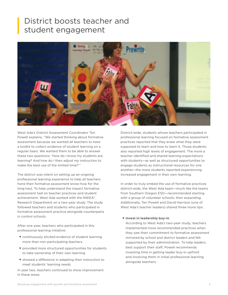## District boosts teacher and student engagement



West Ada's District Assessment Coordinator Teri Powell explains, "We started thinking about formative assessment because we wanted all teachers to have a toolkit to collect evidence of student learning on a regular basis. We wanted them to be able to answer these two questions: 'How do I know my students are learning? And how do I then adjust my instruction to make the best use of the limited time?'"

The district was intent on setting up an ongoing professional learning experience to help all teachers hone their formative assessment know-how for the long haul. To help understand the impact formative assessment had on teacher practices and student achievement, West Ada worked with the NWEA® Research Department on a two-year study. The study followed teachers and students who participated in formative assessment practice alongside counterparts in control schools.

After one year, teachers who participated in this professional learning initiative:

- **+** continuously elicited evidence of student learning more than non-participating teachers
- **+** provided more structured opportunities for students to take ownership of their own learning
- **+** showed a difference in adapting their instruction to meet students' learning needs

In year two, teachers continued to show improvement in these areas.

District-wide, students whose teachers participated in professional learning focused on formative assessment practices reported that they knew what they were supposed to learn and how to learn it. Those students also reported high levels of engagement. The more a teacher identified and shared learning expectations with students—as well as structured opportunities to engage students as instructional resources for one another—the more students reported experiencing increased engagement in their own learning.

In order to truly embed the use of formative practices district-wide, the West Ada team—much like the teams from Southern Oregon ESD—recommended starting with a group of volunteer schools, then expanding. Additionally, Teri Powell and David Harrison (one of West Ada's teacher leaders) shared three more tips:

### **+ Invest in leadership buy-in**

According to West Ada's two-year study, teachers implemented more recommended practices when they saw their commitment to formative assessment mirrored by school and district leaders and felt supported by their administration. To help leaders best support their staff, Powell recommends investing time in getting leader buy-in upfront and involving them in initial professional learning alongside teachers.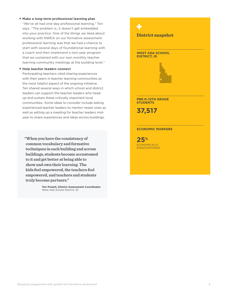### **+ Make a long-term professional learning plan**

"We've all had one-day professional learning," Teri says. "The problem is, it doesn't get embedded into your practice. One of the things we liked about working with NWEA on our formative assessment professional learning was that we had a chance to start with several days of foundational learning with a coach and then implement a two-year program that we sustained with our own monthly teacher learning community meetings at the building level."

### **+ Help teacher leaders connect**

Participating teachers cited sharing experiences with their peers in teacher learning communities as the most helpful aspect of the ongoing initiative. Teri shared several ways in which school and district leaders can support the teacher leaders who head up and sustain these critically important local communities. Some ideas to consider include asking experienced teacher leaders to mentor newer ones as well as setting up a meeting for teacher leaders midyear to share experiences and ideas across buildings.

**25 "When you have the consistency of % common vocabulary and formative techniques in each building and across buildings, students become accustomed to it and get better at being able to show and own their learning. The kids feel empowered, the teachers feel empowered, and teachers and students truly become partners."**

> **Teri Powell, District Assessment Coordinator** West Ada School District, ID

**District snapshot**

### **WEST ADA SCHOOL DISTRICT, ID**



**PRE-K–12TH GRADE STUDENTS**

**37,517** 

### **ECONOMIC MARKERS**

**ECONOMICALLY DISADVANTAGED**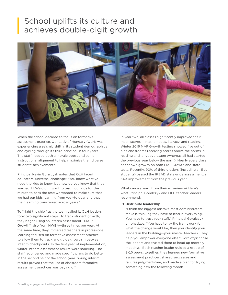# School uplifts its culture and achieves double-digit growth



When the school decided to focus on formative assessment practice, Our Lady of Hungary (OLH) was experiencing a seismic shift in its student demographics and cycling through its third principal in four years. The staff needed both a morale boost and some instructional alignment to help maximize their diverse students' achievements.

Principal Kevin Goralcyzk notes that OLH faced educators' universal challenge: "You know what you need the kids to know, but how do you know that they learned it? We didn't want to teach our kids for the minute to pass the test; we wanted to make sure that we had our kids learning from year-to-year and that their learning transferred across years."

To "right the ship," as the team called it, OLH leaders took two significant steps. To track student growth, they began using an interim assessment—MAP® Growth™, also from NWEA—three times per year. At the same time, they immersed teachers in professional learning focused on formative assessment practice to allow them to track and guide growth in between interim checkpoints. In the first year of implementation, winter interim assessment results were sobering. The staff reconvened and made specific plans to do better in the second half of the school year. Spring interim results proved that the use of classroom formative assessment practices was paying off.

In year two, all classes significantly improved their mean scores in mathematics, literacy, and reading. Winter 2016 MAP Growth testing showed five out of nine classrooms receiving scores above the norms in reading and language usage (whereas all had started the previous year below the norm). Nearly every class has shown growth on both MAP Growth and state tests. Recently, 90% of third graders (including all ELL students) passed the IREAD state-wide assessment, a 34% improvement from the previous year.

What can we learn from their experience? Here's what Principal Goralczyk and OLH teacher leaders recommend:

### **+ Distribute leadership**

"I think the biggest mistake most administrators make is thinking they have to lead in everything. You have to trust your staff," Principal Goralczyk emphasizes. "You have to lay the framework for what the change would be, then you identify your leaders in the building—your master teachers. They help you empower everyone else." Goralczyk chose the leaders and trusted them to head up monthly meetings. Each teacher leader guided a group of 8–10 peers; together, they learned new formative assessment practices, shared successes and failures judgment-free, and made a plan for trying something new the following month.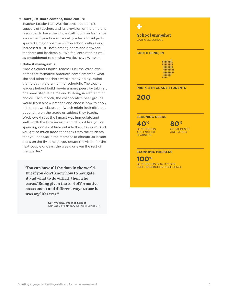### **+ Don't just share content, build culture**

Teacher Leader Kari Wuszke says leadership's support of teachers and its provision of the time and resources to have the whole staff focus on formative assessment practice across all grades and subjects spurred a major positive shift in school culture and increased trust—both among peers and between teachers and leadership. "We feel entrusted as well as emboldened to do what we do," says Wuszke.

### **+ Make it manageable**

Middle School English Teacher Melissa Wroblewski notes that formative practices complemented what she and other teachers were already doing, rather than creating a drain on her schedule. The teacher leaders helped build buy-in among peers by taking it one small step at a time and building in elements of choice. Each month, the collaborative peer groups would learn a new practice and choose how to apply it in their own classroom (which might look different depending on the grade or subject they teach). Wroblewski says the impact was immediate and well worth the time investment: "It's not like you're spending oodles of time outside the classroom. And you get so much good feedback from the students that you can use in the moment to change up lesson plans on the fly. It helps you create the vision for the next couple of days, the week, or even the rest of the quarter."

**"You can have all the data in the world. But if you don't know how to navigate it and what to do with it, then who cares? Being given the tool of formative assessment and different ways to use it was my lifesaver."**

> **Kari Wuszke, Teacher Leader** Our Lady of Hungary Catholic School, IN

### 45

**School snapshot** CATHOLIC SCHOOL

**SOUTH BEND, IN**



**PRE-K–8TH GRADE STUDENTS**

**200**

#### **LEARNING NEEDS**

OF STUDENTS ARE ENGLISH **LEARNERS 40%**



#### **ECONOMIC MARKERS**

OF STUDENTS QUALIFY FOR FREE OR REDUCED-PRICE LUNCH **100%**